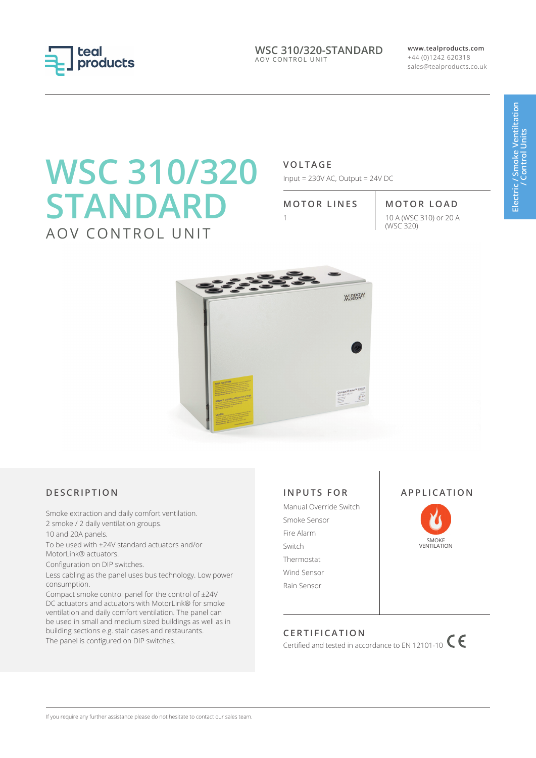

**WSC 310/320-STANDARD** AOV CONTROL UNIT

**www.tealproducts.com** +44 (0)1242 620318 sales@tealproducts.co.uk

# **WSC 310/320 STANDARD** AOV CONTROL UNIT

# **VOLTAGE**

Input = 230V AC, Output = 24V DC

**MOTOR LINES MOTOR LOAD** 1 10 A (WSC 310) or 20 A (WSC 320)



# **DESCRIPTION**

Smoke extraction and daily comfort ventilation. 2 smoke / 2 daily ventilation groups.

10 and 20A panels.

To be used with ±24V standard actuators and/or MotorLink® actuators.

Configuration on DIP switches.

Less cabling as the panel uses bus technology. Low power consumption.

Compact smoke control panel for the control of ±24V DC actuators and actuators with MotorLink® for smoke ventilation and daily comfort ventilation. The panel can be used in small and medium sized buildings as well as in building sections e.g. stair cases and restaurants. The panel is configured on DIP switches.

# **INPUTS FOR**

Manual Override Switch Smoke Sensor Fire Alarm Switch Thermostat Wind Sensor Rain Sensor





# **CERTIFICATION**

Certified and tested in accordance to EN 12101-10  $\mathsf{C}$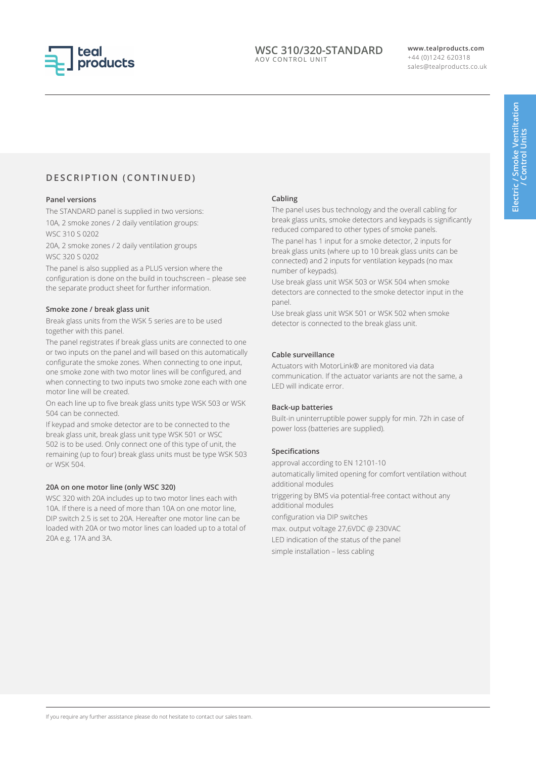

## **WSC 310/320-STANDARD** AOV CONTROL UNIT

#### **www.tealproducts.com** +44 (0)1242 620318 sales@tealproducts.co.uk

# **DESCRIPTION (CONTINUED)**

#### **Panel versions**

The STANDARD panel is supplied in two versions: 10A, 2 smoke zones / 2 daily ventilation groups: WSC 310 S 0202

20A, 2 smoke zones / 2 daily ventilation groups WSC 320 S 0202

The panel is also supplied as a PLUS version where the configuration is done on the build in touchscreen – please see the separate product sheet for further information.

#### **Smoke zone / break glass unit**

Break glass units from the WSK 5 series are to be used together with this panel.

The panel registrates if break glass units are connected to one or two inputs on the panel and will based on this automatically configurate the smoke zones. When connecting to one input, one smoke zone with two motor lines will be configured, and when connecting to two inputs two smoke zone each with one motor line will be created.

On each line up to five break glass units type WSK 503 or WSK 504 can be connected.

If keypad and smoke detector are to be connected to the break glass unit, break glass unit type WSK 501 or WSC 502 is to be used. Only connect one of this type of unit, the remaining (up to four) break glass units must be type WSK 503 or WSK 504.

#### **20A on one motor line (only WSC 320)**

WSC 320 with 20A includes up to two motor lines each with 10A. If there is a need of more than 10A on one motor line, DIP switch 2.5 is set to 20A. Hereafter one motor line can be loaded with 20A or two motor lines can loaded up to a total of 20A e.g. 17A and 3A.

#### **Cabling**

The panel uses bus technology and the overall cabling for break glass units, smoke detectors and keypads is significantly reduced compared to other types of smoke panels.

The panel has 1 input for a smoke detector, 2 inputs for break glass units (where up to 10 break glass units can be connected) and 2 inputs for ventilation keypads (no max number of keypads).

Use break glass unit WSK 503 or WSK 504 when smoke detectors are connected to the smoke detector input in the panel.

Use break glass unit WSK 501 or WSK 502 when smoke detector is connected to the break glass unit.

## **Cable surveillance**

Actuators with MotorLink® are monitored via data communication. If the actuator variants are not the same, a LED will indicate error.

#### **Back-up batteries**

Built-in uninterruptible power supply for min. 72h in case of power loss (batteries are supplied).

#### **Specifications**

approval according to EN 12101-10 automatically limited opening for comfort ventilation without additional modules triggering by BMS via potential-free contact without any additional modules configuration via DIP switches max. output voltage 27,6VDC @ 230VAC LED indication of the status of the panel simple installation – less cabling